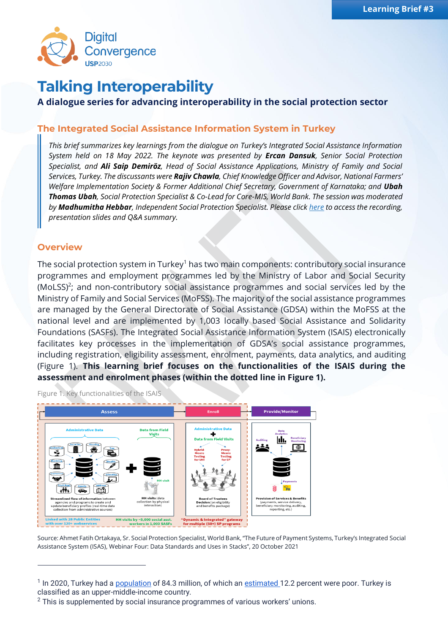

# **Talking Interoperability**

## **A dialogue series for advancing interoperability in the social protection sector**

### **The Integrated Social Assistance Information System in Turkey**

*This brief summarizes key learnings from the dialogue on Turkey's Integrated Social Assistance Information System held on 18 May 2022. The keynote was presented by Ercan Dansuk, Senior Social Protection Specialist, and Ali Saip Demiröz, Head of Social Assistance Applications, Ministry of Family and Social Services, Turkey. The discussants were Rajiv Chawla, Chief Knowledge Officer and Advisor, National Farmers' Welfare Implementation Society & Former Additional Chief Secretary, Government of Karnataka; and Ubah Thomas Ubah, Social Protection Specialist & Co-Lead for Core-MIS, World Bank. The session was moderated by Madhumitha Hebbar, Independent Social Protection Specialist. Please clic[k here](https://sp-convergence.org/resources) to access the recording, presentation slides and Q&A summary.*

#### **Overview**

The social protection system in Turkey<sup>1</sup> has two main components: contributory social insurance programmes and employment programmes led by the Ministry of Labor and Social Security (MoLSS)<sup>2</sup>; and non-contributory social assistance programmes and social services led by the Ministry of Family and Social Services (MoFSS). The majority of the social assistance programmes are managed by the General Directorate of Social Assistance (GDSA) within the MoFSS at the national level and are implemented by 1,003 locally based Social Assistance and Solidarity Foundations (SASFs). The Integrated Social Assistance Information System (ISAIS) electronically facilitates key processes in the implementation of GDSA's social assistance programmes, including registration, eligibility assessment, enrolment, payments, data analytics, and auditing (Figure 1). **This learning brief focuses on the functionalities of the ISAIS during the assessment and enrolment phases (within the dotted line in Figure 1).**

**Assess Provide/Monitor** Data from Field <u>lılı.</u>  $\bigoplus$  $\mathbb{R}^2$  $\mathbf{M}$  $\overline{\bigoplus}$ **HH visits** (data<br>ection by phys<br>interaction) **Streamlined flow of information betw Provision of Services & Benefits** (payments, service de<br>beneficiary monitoring,<br>reporting, etc.) HH visits by  $\sim$  5,000 social asst.<br>workers in 1,003 SASFs 'Dynamic & Integrated" gateway<br>for multiple (50+) SP programs

Figure 1. Key functionalities of the ISAIS

Source: Ahmet Fatih Ortakaya, Sr. Social Protection Specialist, World Bank, "The Future of Payment Systems, Turkey's Integrated Social Assistance System (ISAS), Webinar Four: Data Standards and Uses in Stacks", 20 October 2021

<sup>&</sup>lt;sup>1</sup> In 2020, Turkey had a **population** of 84.3 million, of which an **estimated** 12.2 percent were poor. Turkey is classified as an upper-middle-income country.

 $2$  This is supplemented by social insurance programmes of various workers' unions.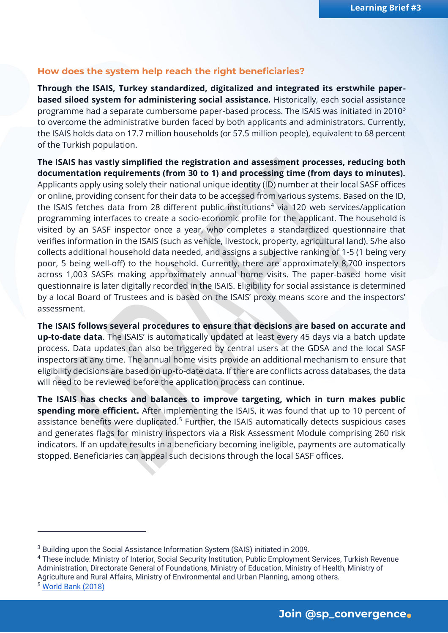#### **How does the system help reach the right beneficiaries?**

**Through the ISAIS, Turkey standardized, digitalized and integrated its erstwhile paperbased siloed system for administering social assistance.** Historically, each social assistance programme had a separate cumbersome paper-based process. The ISAIS was initiated in 2010<sup>3</sup> to overcome the administrative burden faced by both applicants and administrators. Currently, the ISAIS holds data on 17.7 million households (or 57.5 million people), equivalent to 68 percent of the Turkish population.

**The ISAIS has vastly simplified the registration and assessment processes, reducing both documentation requirements (from 30 to 1) and processing time (from days to minutes).** Applicants apply using solely their national unique identity (ID) number at their local SASF offices or online, providing consent for their data to be accessed from various systems. Based on the ID, the ISAIS fetches data from 28 different public institutions<sup>4</sup> via 120 web services/application programming interfaces to create a socio-economic profile for the applicant. The household is visited by an SASF inspector once a year, who completes a standardized questionnaire that verifies information in the ISAIS (such as vehicle, livestock, property, agricultural land). S/he also collects additional household data needed, and assigns a subjective ranking of 1-5 (1 being very poor, 5 being well-off) to the household. Currently, there are approximately 8,700 inspectors across 1,003 SASFs making approximately annual home visits. The paper-based home visit questionnaire is later digitally recorded in the ISAIS. Eligibility for social assistance is determined by a local Board of Trustees and is based on the ISAIS' proxy means score and the inspectors' assessment.

**The ISAIS follows several procedures to ensure that decisions are based on accurate and up-to-date data**. The ISAIS' is automatically updated at least every 45 days via a batch update process. Data updates can also be triggered by central users at the GDSA and the local SASF inspectors at any time. The annual home visits provide an additional mechanism to ensure that eligibility decisions are based on up-to-date data. If there are conflicts across databases, the data will need to be reviewed before the application process can continue.

**The ISAIS has checks and balances to improve targeting, which in turn makes public spending more efficient.** After implementing the ISAIS, it was found that up to 10 percent of assistance benefits were duplicated.<sup>5</sup> Further, the ISAIS automatically detects suspicious cases and generates flags for ministry inspectors via a Risk Assessment Module comprising 260 risk indicators. If an update results in a beneficiary becoming ineligible, payments are automatically stopped. Beneficiaries can appeal such decisions through the local SASF offices.

<sup>3</sup> Building upon the Social Assistance Information System (SAIS) initiated in 2009.

<sup>4</sup> These include: Ministry of Interior, Social Security Institution, Public Employment Services, Turkish Revenue Administration, Directorate General of Foundations, Ministry of Education, Ministry of Health, Ministry of Agriculture and Rural Affairs, Ministry of Environmental and Urban Planning, among others.

<sup>5</sup> [World Bank \(2018\)](https://documents.worldbank.org/en/publication/documents-reports/documentdetail/515231530005107572/turkey-s-integrated-social-assistance-system)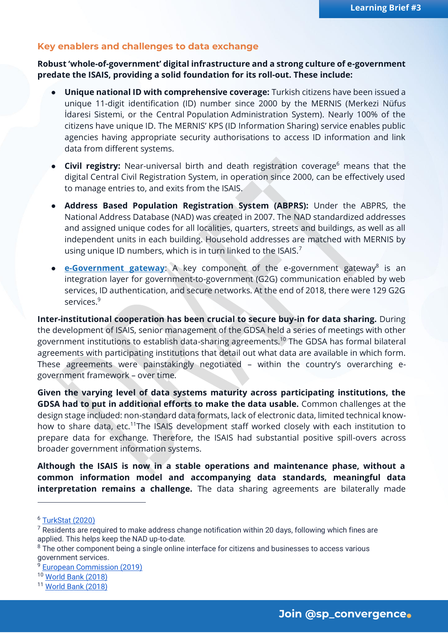#### **Key enablers and challenges to data exchange**

**Robust 'whole-of-government' digital infrastructure and a strong culture of e-government predate the ISAIS, providing a solid foundation for its roll-out. These include:**

- **Unique national ID with comprehensive coverage:** Turkish citizens have been issued a unique 11-digit identification (ID) number since 2000 by the MERNIS (Merkezi Nüfus İdaresi Sistemi, or the Central Population Administration System). Nearly 100% of the citizens have unique ID. The MERNIS' KPS (ID Information Sharing) service enables public agencies having appropriate security authorisations to access ID information and link data from different systems.
- **Civil registry:** Near-universal birth and death registration coverage<sup>6</sup> means that the digital Central Civil Registration System, in operation since 2000, can be effectively used to manage entries to, and exits from the ISAIS.
- **Address Based Population Registration System (ABPRS):** Under the ABPRS, the National Address Database (NAD) was created in 2007. The NAD standardized addresses and assigned unique codes for all localities, quarters, streets and buildings, as well as all independent units in each building. Household addresses are matched with MERNIS by using unique ID numbers, which is in turn linked to the ISAIS.<sup>7</sup>
- **e [e-Government gateway](https://www.turkiye.gov.tr/):** A key component of the e-government gateway<sup>8</sup> is an integration layer for government-to-government (G2G) communication enabled by web services, ID authentication, and secure networks. At the end of 2018, there were 129 G2G services.<sup>9</sup>

**Inter-institutional cooperation has been crucial to secure buy-in for data sharing.** During the development of ISAIS, senior management of the GDSA held a series of meetings with other government institutions to establish data-sharing agreements.<sup>10</sup> The GDSA has formal bilateral agreements with participating institutions that detail out what data are available in which form. These agreements were painstakingly negotiated – within the country's overarching egovernment framework – over time.

**Given the varying level of data systems maturity across participating institutions, the GDSA had to put in additional efforts to make the data usable.** Common challenges at the design stage included: non-standard data formats, lack of electronic data, limited technical knowhow to share data, etc.<sup>11</sup>The ISAIS development staff worked closely with each institution to prepare data for exchange. Therefore, the ISAIS had substantial positive spill-overs across broader government information systems.

**Although the ISAIS is now in a stable operations and maintenance phase, without a common information model and accompanying data standards, meaningful data interpretation remains a challenge.** The data sharing agreements are bilaterally made

<sup>6</sup> [TurkStat \(2020\)](https://www.unescap.org/sites/default/files/Session5_Vital_Statistics_in_Turkey-Workshop_SDG_PHC_CRVS.pdf)

 $7$  Residents are required to make address change notification within 20 days, following which fines are applied. This helps keep the NAD up-to-date.

 $8$  The other component being a single online interface for citizens and businesses to access various government services.

<sup>9</sup> [European Commission \(2019\)](https://joinup.ec.europa.eu/sites/default/files/inline-files/Digital_Government_Factsheets_Turkey_2019.pdf)

<sup>10</sup> [World Bank \(2018\)](https://documents.worldbank.org/en/publication/documents-reports/documentdetail/515231530005107572/turkey-s-integrated-social-assistance-system)

<sup>11</sup> [World Bank \(2018\)](https://documents.worldbank.org/en/publication/documents-reports/documentdetail/515231530005107572/turkey-s-integrated-social-assistance-system)